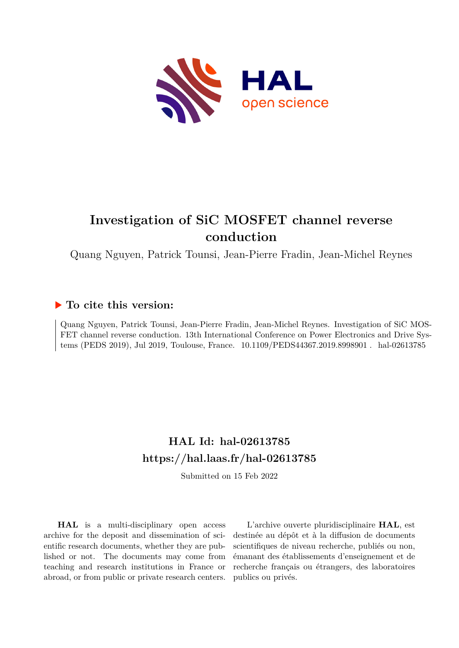

## **Investigation of SiC MOSFET channel reverse conduction**

Quang Nguyen, Patrick Tounsi, Jean-Pierre Fradin, Jean-Michel Reynes

### **To cite this version:**

Quang Nguyen, Patrick Tounsi, Jean-Pierre Fradin, Jean-Michel Reynes. Investigation of SiC MOS-FET channel reverse conduction. 13th International Conference on Power Electronics and Drive Systems (PEDS 2019), Jul 2019, Toulouse, France. 10.1109/PEDS44367.2019.8998901. hal-02613785

### **HAL Id: hal-02613785 <https://hal.laas.fr/hal-02613785>**

Submitted on 15 Feb 2022

**HAL** is a multi-disciplinary open access archive for the deposit and dissemination of scientific research documents, whether they are published or not. The documents may come from teaching and research institutions in France or abroad, or from public or private research centers.

L'archive ouverte pluridisciplinaire **HAL**, est destinée au dépôt et à la diffusion de documents scientifiques de niveau recherche, publiés ou non, émanant des établissements d'enseignement et de recherche français ou étrangers, des laboratoires publics ou privés.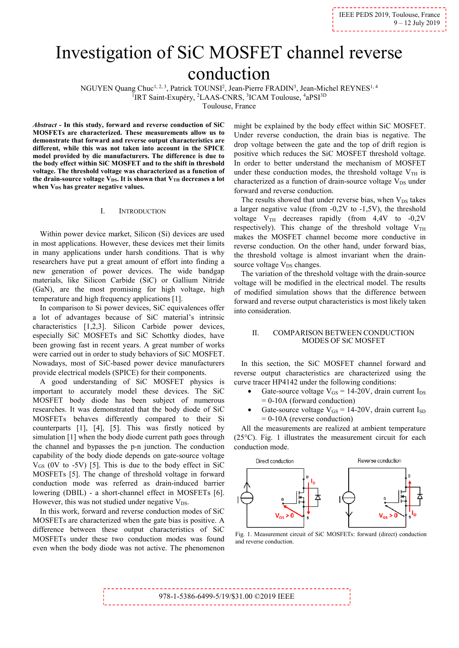# Investigation of SiC MOSFET channel reverse conduction

NGUYEN Quang Chuc<sup>1, 2, 3</sup>, Patrick TOUNSI<sup>2</sup>, Jean-Pierre FRADIN<sup>3</sup>, Jean-Michel REYNES<sup>1, 4</sup> <sup>1</sup>IRT Saint-Exupéry, <sup>2</sup>LAAS-CNRS, <sup>3</sup>ICAM Toulouse, <sup>4</sup>aPSI<sup>3D</sup>

Toulouse, France

*Abstract -* **In this study, forward and reverse conduction of SiC MOSFETs are characterized. These measurements allow us to demonstrate that forward and reverse output characteristics are different, while this was not taken into account in the SPICE model provided by die manufacturers. The difference is due to the body effect within SiC MOSFET and to the shift in threshold voltage. The threshold voltage was characterized as a function of**  the drain-source voltage  $V_{DS}$ . It is shown that  $V_{TH}$  decreases a lot when V<sub>DS</sub> has greater negative values.

#### I. INTRODUCTION

Within power device market, Silicon (Si) devices are used in most applications. However, these devices met their limits in many applications under harsh conditions. That is why researchers have put a great amount of effort into finding a new generation of power devices. The wide bandgap materials, like Silicon Carbide (SiC) or Gallium Nitride (GaN), are the most promising for high voltage, high temperature and high frequency applications [1].

In comparison to Si power devices, SiC equivalences offer a lot of advantages because of SiC material's intrinsic characteristics [1,2,3]. Silicon Carbide power devices, especially SiC MOSFETs and SiC Schottky diodes, have been growing fast in recent years. A great number of works were carried out in order to study behaviors of SiC MOSFET. Nowadays, most of SiC-based power device manufacturers provide electrical models (SPICE) for their components.

A good understanding of SiC MOSFET physics is important to accurately model these devices. The SiC MOSFET body diode has been subject of numerous researches. It was demonstrated that the body diode of SiC MOSFETs behaves differently compared to their Si counterparts [1], [4], [5]. This was firstly noticed by simulation [1] when the body diode current path goes through the channel and bypasses the p-n junction. The conduction capability of the body diode depends on gate-source voltage  $V_{GS}$  (0V to -5V) [5]. This is due to the body effect in SiC MOSFETs [5]. The change of threshold voltage in forward conduction mode was referred as drain-induced barrier lowering (DBIL) - a short-channel effect in MOSFETs [6]. However, this was not studied under negative  $V_{DS}$ .

In this work, forward and reverse conduction modes of SiC MOSFETs are characterized when the gate bias is positive. A difference between these output characteristics of SiC MOSFETs under these two conduction modes was found even when the body diode was not active. The phenomenon

might be explained by the body effect within SiC MOSFET. Under reverse conduction, the drain bias is negative. The drop voltage between the gate and the top of drift region is positive which reduces the SiC MOSFET threshold voltage. In order to better understand the mechanism of MOSFET under these conduction modes, the threshold voltage  $V<sub>TH</sub>$  is characterized as a function of drain-source voltage  $V_{DS}$  under forward and reverse conduction.

The results showed that under reverse bias, when  $V_{DS}$  takes a larger negative value (from -0,2V to -1,5V), the threshold voltage  $V_{TH}$  decreases rapidly (from 4,4V to -0,2V respectively). This change of the threshold voltage  $V_{TH}$ makes the MOSFET channel become more conductive in reverse conduction. On the other hand, under forward bias, the threshold voltage is almost invariant when the drainsource voltage V<sub>DS</sub> changes.

The variation of the threshold voltage with the drain-source voltage will be modified in the electrical model. The results of modified simulation shows that the difference between forward and reverse output characteristics is most likely taken into consideration.

#### II. COMPARISON BETWEEN CONDUCTION MODES OF SIC MOSFET

In this section, the SiC MOSFET channel forward and reverse output characteristics are characterized using the curve tracer HP4142 under the following conditions:

- Gate-source voltage  $V_{GS} = 14{\text -}20V$ , drain current  $I_{DS}$  $= 0-10A$  (forward conduction)
- Gate-source voltage  $V_{GS} = 14{\text -}20V$ , drain current I<sub>SD</sub> = 0-10A (reverse conduction)

All the measurements are realized at ambient temperature (25°C). Fig. 1 illustrates the measurement circuit for each conduction mode.



 Fig. 1. Measurement circuit of SiC MOSFETs: forward (direct) conduction and reverse conduction.

\_\_\_\_\_\_\_\_\_\_\_\_\_\_\_\_\_\_\_\_\_\_\_ 978-1-5386-6499-5/19/\$31.00 ©2019 IEEE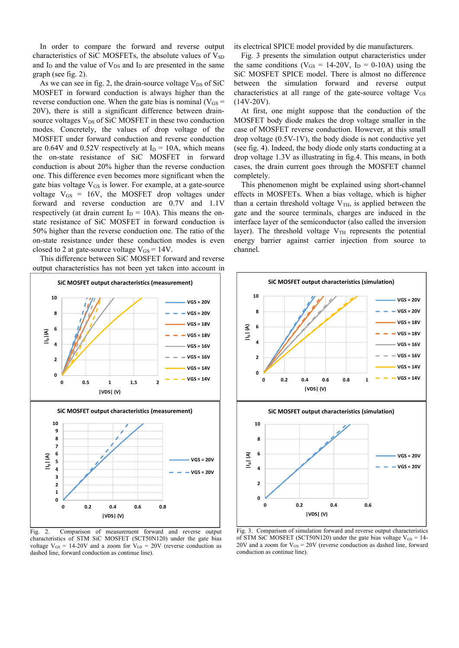In order to compare the forward and reverse output characteristics of SiC MOSFETs, the absolute values of  $V_{SD}$ and  $I_D$  and the value of  $V_{DS}$  and  $I_D$  are presented in the same graph (see fig. 2).

As we can see in fig. 2, the drain-source voltage  $V_{DS}$  of SiC MOSFET in forward conduction is always higher than the reverse conduction one. When the gate bias is nominal ( $V_{GS}$  = 20V), there is still a significant difference between drainsource voltages  $V_{DS}$  of SiC MOSFET in these two conduction modes. Concretely, the values of drop voltage of the MOSFET under forward conduction and reverse conduction are 0.64V and 0.52V respectively at  $I<sub>D</sub> = 10A$ , which means the on-state resistance of SiC MOSFET in forward conduction is about 20% higher than the reverse conduction one. This difference even becomes more significant when the gate bias voltage  $V_{GS}$  is lower. For example, at a gate-source voltage  $V_{GS}$  = 16V, the MOSFET drop voltages under forward and reverse conduction are 0.7V and 1.1V respectively (at drain current  $I_D = 10A$ ). This means the onstate resistance of SiC MOSFET in forward conduction is 50% higher than the reverse conduction one. The ratio of the on-state resistance under these conduction modes is even closed to 2 at gate-source voltage  $V_{GS} = 14V$ .

This difference between SiC MOSFET forward and reverse output characteristics has not been yet taken into account in



Fig. 2. Comparison of measurement forward and reverse output characteristics of STM SiC MOSFET (SCT50N120) under the gate bias voltage  $V_{GS} = 14{\text -}20V$  and a zoom for  $V_{GS} = 20V$  (reverse conduction as dashed line, forward conduction as continue line).

its electrical SPICE model provided by die manufacturers.

Fig. 3 presents the simulation output characteristics under the same conditions ( $V_{GS} = 14{\text -}20V$ ,  $I_D = 0{\text -}10A$ ) using the SiC MOSFET SPICE model. There is almost no difference between the simulation forward and reverse output characteristics at all range of the gate-source voltage  $V_{GS}$  $(14V-20V)$ .

At first, one might suppose that the conduction of the MOSFET body diode makes the drop voltage smaller in the case of MOSFET reverse conduction. However, at this small drop voltage (0.5V-1V), the body diode is not conductive yet (see fig. 4). Indeed, the body diode only starts conducting at a drop voltage 1.3V as illustrating in fig.4. This means, in both cases, the drain current goes through the MOSFET channel completely.

This phenomenon might be explained using short-channel effects in MOSFETs. When a bias voltage, which is higher than a certain threshold voltage  $V<sub>TH</sub>$ , is applied between the gate and the source terminals, charges are induced in the interface layer of the semiconductor (also called the inversion layer). The threshold voltage  $V<sub>TH</sub>$  represents the potential energy barrier against carrier injection from source to channel.



Fig. 3. Comparison of simulation forward and reverse output characteristics of STM SiC MOSFET (SCT50N120) under the gate bias voltage  $V_{GS} = 14$ -20V and a zoom for  $V_{GS} = 20V$  (reverse conduction as dashed line, forward conduction as continue line).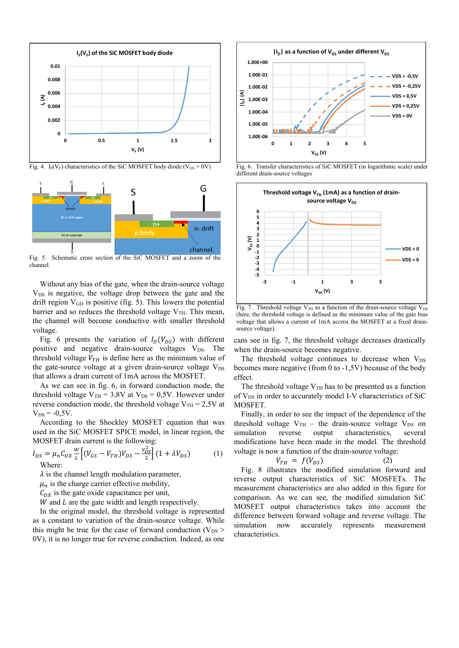

Fig. 4. I<sub>F</sub>(V<sub>F</sub>) characteristics of the SiC MOSFET body diode (V<sub>GS</sub> = 0V)



Fig. 5. Schematic cross section of the SiC MOSFET and a zoom of the channel.

Without any bias of the gate, when the drain-source voltage  $V_{DS}$  is negative, the voltage drop between the gate and the drift region  $V_{GD}$  is positive (fig. 5). This lowers the potential barrier and so reduces the threshold voltage  $V<sub>TH</sub>$ . This mean, the channel will become conductive with smaller threshold voltage.

Fig. 6 presents the variation of  $I_D(V_{DS})$  with different positive and negative drain-source voltages  $V_{DS}$ . The threshold voltage  $V_{TH}$  is define here as the minimum value of the gate-source voltage at a given drain-source voltage  $V_{DS}$ that allows a drain current of 1mA across the MOSFET.

As we can see in fig. 6, in forward conduction mode, the threshold voltage  $V_{TH} = 3.8V$  at  $V_{DS} = 0.5V$ . However under reverse conduction mode, the threshold voltage  $V_{TH} = 2.5V$  at  $V_{DS} = -0.5V$ .

According to the Shockley MOSFET equation that was used in the SiC MOSFET SPICE model, in linear region, the MOSFET drain current is the following:

$$
I_{DS} = \mu_n C_{OX} \frac{w}{L} \left[ (V_{GS} - V_{TH}) V_{DS} - \frac{V_{DS}^2}{2} \right] (1 + \lambda V_{DS})
$$
 (1)  
Where:

 $\lambda$  is the channel length modulation parameter,

 $\mu_n$  is the charge carrier effective mobility,

 $C_{OX}$  is the gate oxide capacitance per unit,

 $W$  and  $L$  are the gate width and length respectively.

In the original model, the threshold voltage is represented as a constant to variation of the drain-source voltage. While this might be true for the case of forward conduction ( $V_{DS}$  > 0V), it is no longer true for reverse conduction. Indeed, as one



Fig. 6. Transfer characteristics of SiC MOSFET (in logarithmic scale) under different drain-source voltages



Fig. 7. Threshold voltage  $V_{TH}$  as a function of the drain-source voltage  $V_{DS}$ (here, the threshold voltage is defined as the minimum value of the gate bias voltage that allows a current of 1mA accros the MOSFET at a fixed drainsource voltage).

cans see in fig. 7, the threshold voltage decreases drastically when the drain-source becomes negative.

The threshold voltage continues to decrease when  $V_{DS}$ becomes more negative (from 0 to -1,5V) because of the body effect.

The threshold voltage  $V<sub>TH</sub>$  has to be presented as a function of V<sub>DS</sub> in order to accurately model I-V characteristics of SiC MOSFET.

Finally, in order to see the impact of the dependence of the threshold voltage  $V_{TH}$  – the drain-source voltage  $V_{DS}$  on simulation reverse output characteristics, several modifications have been made in the model. The threshold voltage is now a function of the drain-source voltage:

$$
V_{TH} = f(V_{DS}) \tag{2}
$$

Fig. 8 illustrates the modified simulation forward and reverse output characteristics of SiC MOSFETs. The measurement characteristics are also added in this figure for comparison. As we can see, the modified simulation SiC MOSFET output characteristics takes into account the difference between forward voltage and reverse voltage. The simulation now accurately represents measurement characteristics.